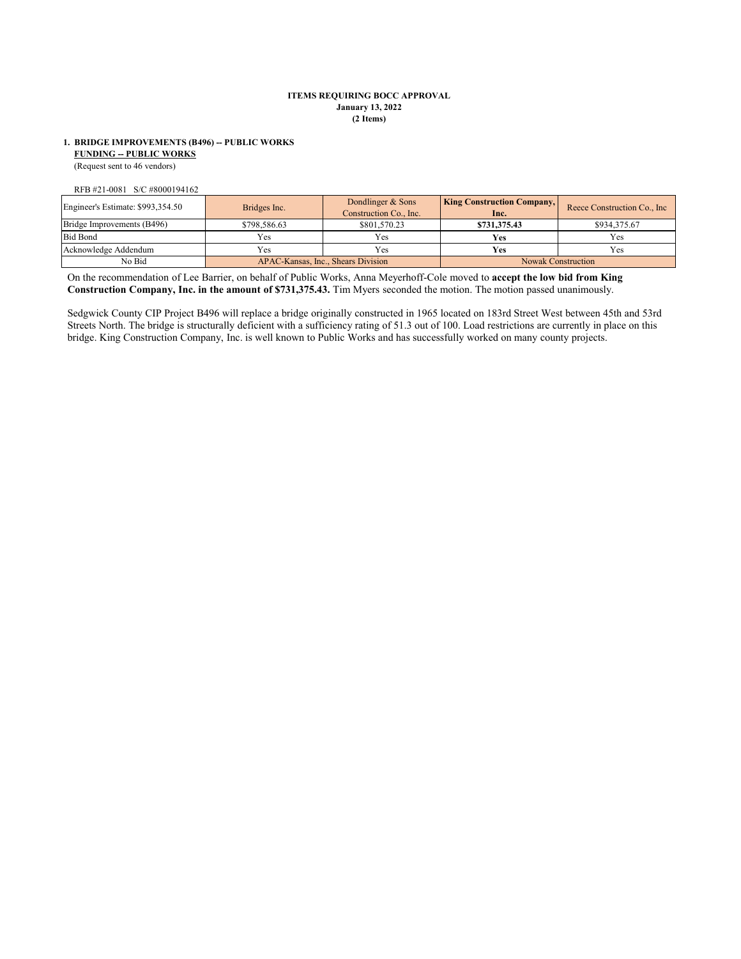# **ITEMS REQUIRING BOCC APPROVAL January 13, 2022 (2 Items)**

# **FUNDING -- PUBLIC WORKS 1. BRIDGE IMPROVEMENTS (B496) -- PUBLIC WORKS**

(Request sent to 46 vendors)

RFB #21-0081 S/C #8000194162

| Engineer's Estimate: \$993,354.50 | Bridges Inc.                       | Dondlinger & Sons<br>Construction Co., Inc. | <b>King Construction Company,</b><br>Inc. | Reece Construction Co., Inc. |
|-----------------------------------|------------------------------------|---------------------------------------------|-------------------------------------------|------------------------------|
| Bridge Improvements (B496)        | \$798,586.63                       | \$801,570.23                                | \$731,375.43                              | \$934,375.67                 |
| <b>Bid Bond</b>                   | Yes                                | Yes                                         | Ves                                       | Yes                          |
| Acknowledge Addendum              | <b>Yes</b>                         | Yes                                         | Yes                                       | Yes                          |
| No Bid                            | APAC-Kansas, Inc., Shears Division |                                             | <b>Nowak Construction</b>                 |                              |

On the recommendation of Lee Barrier, on behalf of Public Works, Anna Meyerhoff-Cole moved to **accept the low bid from King Construction Company, Inc. in the amount of \$731,375.43.** Tim Myers seconded the motion. The motion passed unanimously.

Sedgwick County CIP Project B496 will replace a bridge originally constructed in 1965 located on 183rd Street West between 45th and 53rd Streets North. The bridge is structurally deficient with a sufficiency rating of 51.3 out of 100. Load restrictions are currently in place on this bridge. King Construction Company, Inc. is well known to Public Works and has successfully worked on many county projects.